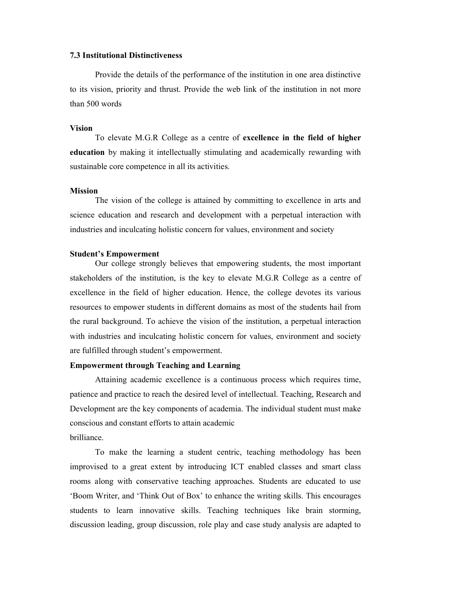## 7.3 Institutional Distinctiveness

Provide the details of the performance of the institution in one area distinctive to its vision, priority and thrust. Provide the web link of the institution in not more than 500 words

## Vision

To elevate M.G.R College as a centre of excellence in the field of higher education by making it intellectually stimulating and academically rewarding with sustainable core competence in all its activities.

#### **Mission**

 The vision of the college is attained by committing to excellence in arts and science education and research and development with a perpetual interaction with industries and inculcating holistic concern for values, environment and society

## Student's Empowerment

Our college strongly believes that empowering students, the most important stakeholders of the institution, is the key to elevate M.G.R College as a centre of excellence in the field of higher education. Hence, the college devotes its various resources to empower students in different domains as most of the students hail from the rural background. To achieve the vision of the institution, a perpetual interaction with industries and inculcating holistic concern for values, environment and society are fulfilled through student's empowerment.

# Empowerment through Teaching and Learning

Attaining academic excellence is a continuous process which requires time, patience and practice to reach the desired level of intellectual. Teaching, Research and Development are the key components of academia. The individual student must make conscious and constant efforts to attain academic brilliance.

To make the learning a student centric, teaching methodology has been improvised to a great extent by introducing ICT enabled classes and smart class rooms along with conservative teaching approaches. Students are educated to use 'Boom Writer, and 'Think Out of Box' to enhance the writing skills. This encourages students to learn innovative skills. Teaching techniques like brain storming, discussion leading, group discussion, role play and case study analysis are adapted to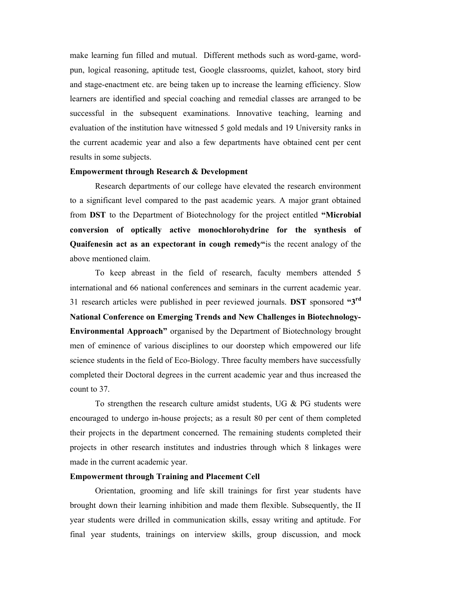make learning fun filled and mutual. Different methods such as word-game, wordpun, logical reasoning, aptitude test, Google classrooms, quizlet, kahoot, story bird and stage-enactment etc. are being taken up to increase the learning efficiency. Slow learners are identified and special coaching and remedial classes are arranged to be successful in the subsequent examinations. Innovative teaching, learning and evaluation of the institution have witnessed 5 gold medals and 19 University ranks in the current academic year and also a few departments have obtained cent per cent results in some subjects.

# Empowerment through Research & Development

Research departments of our college have elevated the research environment to a significant level compared to the past academic years. A major grant obtained from DST to the Department of Biotechnology for the project entitled "Microbial conversion of optically active monochlorohydrine for the synthesis of Quaifenesin act as an expectorant in cough remedy"is the recent analogy of the above mentioned claim.

To keep abreast in the field of research, faculty members attended 5 international and 66 national conferences and seminars in the current academic year. 31 research articles were published in peer reviewed journals. DST sponsored " $3<sup>rd</sup>$ National Conference on Emerging Trends and New Challenges in Biotechnology-Environmental Approach" organised by the Department of Biotechnology brought men of eminence of various disciplines to our doorstep which empowered our life science students in the field of Eco-Biology. Three faculty members have successfully completed their Doctoral degrees in the current academic year and thus increased the count to 37.

To strengthen the research culture amidst students, UG & PG students were encouraged to undergo in-house projects; as a result 80 per cent of them completed their projects in the department concerned. The remaining students completed their projects in other research institutes and industries through which 8 linkages were made in the current academic year.

## Empowerment through Training and Placement Cell

Orientation, grooming and life skill trainings for first year students have brought down their learning inhibition and made them flexible. Subsequently, the II year students were drilled in communication skills, essay writing and aptitude. For final year students, trainings on interview skills, group discussion, and mock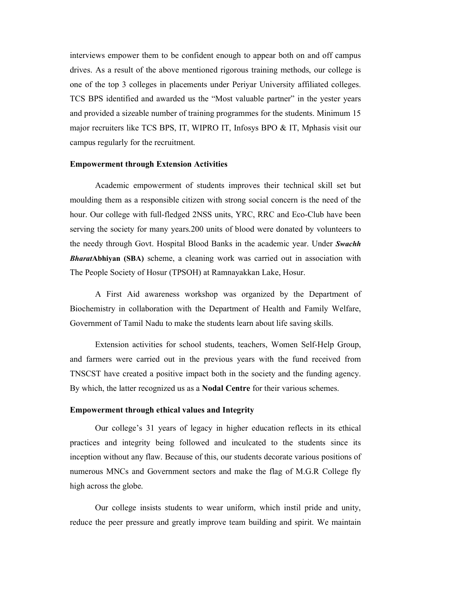interviews empower them to be confident enough to appear both on and off campus drives. As a result of the above mentioned rigorous training methods, our college is one of the top 3 colleges in placements under Periyar University affiliated colleges. TCS BPS identified and awarded us the "Most valuable partner" in the yester years and provided a sizeable number of training programmes for the students. Minimum 15 major recruiters like TCS BPS, IT, WIPRO IT, Infosys BPO & IT, Mphasis visit our campus regularly for the recruitment.

## Empowerment through Extension Activities

Academic empowerment of students improves their technical skill set but moulding them as a responsible citizen with strong social concern is the need of the hour. Our college with full-fledged 2NSS units, YRC, RRC and Eco-Club have been serving the society for many years.200 units of blood were donated by volunteers to the needy through Govt. Hospital Blood Banks in the academic year. Under Swachh BharatAbhiyan (SBA) scheme, a cleaning work was carried out in association with The People Society of Hosur (TPSOH) at Ramnayakkan Lake, Hosur.

A First Aid awareness workshop was organized by the Department of Biochemistry in collaboration with the Department of Health and Family Welfare, Government of Tamil Nadu to make the students learn about life saving skills.

Extension activities for school students, teachers, Women Self-Help Group, and farmers were carried out in the previous years with the fund received from TNSCST have created a positive impact both in the society and the funding agency. By which, the latter recognized us as a **Nodal Centre** for their various schemes.

## Empowerment through ethical values and Integrity

Our college's 31 years of legacy in higher education reflects in its ethical practices and integrity being followed and inculcated to the students since its inception without any flaw. Because of this, our students decorate various positions of numerous MNCs and Government sectors and make the flag of M.G.R College fly high across the globe.

Our college insists students to wear uniform, which instil pride and unity, reduce the peer pressure and greatly improve team building and spirit. We maintain